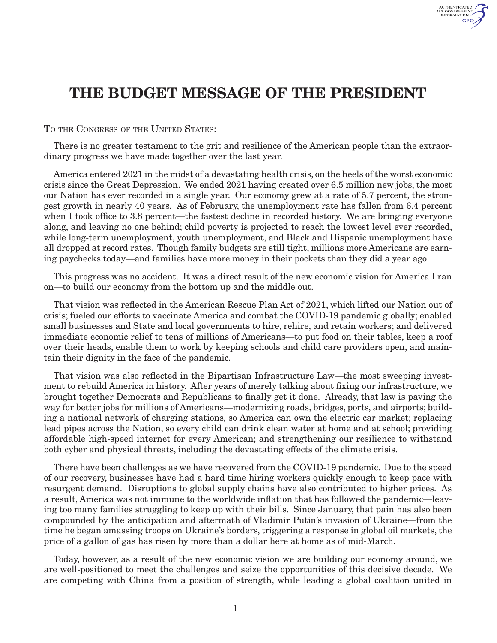

## THE BUDGET MESSAGE OF THE PRESIDENT

TO THE CONGRESS OF THE UNITED STATES:

There is no greater testament to the grit and resilience of the American people than the extraordinary progress we have made together over the last year.

America entered 2021 in the midst of a devastating health crisis, on the heels of the worst economic crisis since the Great Depression. We ended 2021 having created over 6.5 million new jobs, the most our Nation has ever recorded in a single year. Our economy grew at a rate of 5.7 percent, the strongest growth in nearly 40 years. As of February, the unemployment rate has fallen from 6.4 percent when I took office to 3.8 percent—the fastest decline in recorded history. We are bringing everyone along, and leaving no one behind; child poverty is projected to reach the lowest level ever recorded, while long-term unemployment, youth unemployment, and Black and Hispanic unemployment have all dropped at record rates. Though family budgets are still tight, millions more Americans are earning paychecks today—and families have more money in their pockets than they did a year ago.

This progress was no accident. It was a direct result of the new economic vision for America I ran on—to build our economy from the bottom up and the middle out.

That vision was reflected in the American Rescue Plan Act of 2021, which lifted our Nation out of crisis; fueled our efforts to vaccinate America and combat the COVID-19 pandemic globally; enabled small businesses and State and local governments to hire, rehire, and retain workers; and delivered immediate economic relief to tens of millions of Americans—to put food on their tables, keep a roof over their heads, enable them to work by keeping schools and child care providers open, and maintain their dignity in the face of the pandemic.

That vision was also reflected in the Bipartisan Infrastructure Law—the most sweeping investment to rebuild America in history. After years of merely talking about fixing our infrastructure, we brought together Democrats and Republicans to finally get it done. Already, that law is paving the way for better jobs for millions of Americans—modernizing roads, bridges, ports, and airports; building a national network of charging stations, so America can own the electric car market; replacing lead pipes across the Nation, so every child can drink clean water at home and at school; providing affordable high-speed internet for every American; and strengthening our resilience to withstand both cyber and physical threats, including the devastating effects of the climate crisis.

There have been challenges as we have recovered from the COVID-19 pandemic. Due to the speed of our recovery, businesses have had a hard time hiring workers quickly enough to keep pace with resurgent demand. Disruptions to global supply chains have also contributed to higher prices. As a result, America was not immune to the worldwide inflation that has followed the pandemic—leaving too many families struggling to keep up with their bills. Since January, that pain has also been compounded by the anticipation and aftermath of Vladimir Putin's invasion of Ukraine—from the time he began amassing troops on Ukraine's borders, triggering a response in global oil markets, the price of a gallon of gas has risen by more than a dollar here at home as of mid-March.

Today, however, as a result of the new economic vision we are building our economy around, we are well-positioned to meet the challenges and seize the opportunities of this decisive decade. We are competing with China from a position of strength, while leading a global coalition united in